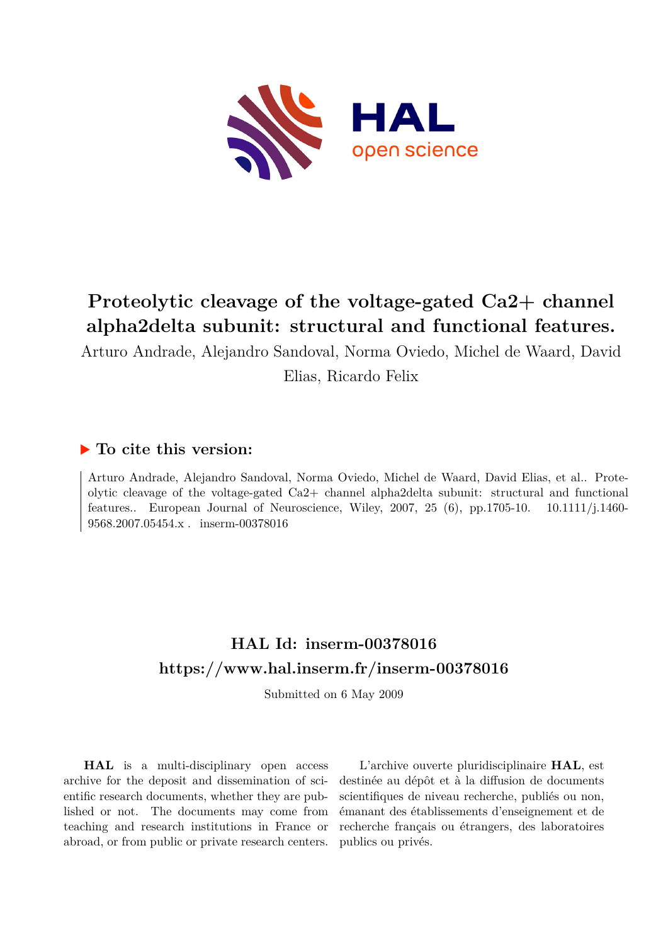

# **Proteolytic cleavage of the voltage-gated Ca2+ channel alpha2delta subunit: structural and functional features.**

Arturo Andrade, Alejandro Sandoval, Norma Oviedo, Michel de Waard, David Elias, Ricardo Felix

### **To cite this version:**

Arturo Andrade, Alejandro Sandoval, Norma Oviedo, Michel de Waard, David Elias, et al.. Proteolytic cleavage of the voltage-gated Ca2+ channel alpha2delta subunit: structural and functional features.. European Journal of Neuroscience, Wiley, 2007, 25  $(6)$ , pp.1705-10. 10.1111/j.1460-9568.2007.05454.x . inserm-00378016

## **HAL Id: inserm-00378016 <https://www.hal.inserm.fr/inserm-00378016>**

Submitted on 6 May 2009

**HAL** is a multi-disciplinary open access archive for the deposit and dissemination of scientific research documents, whether they are published or not. The documents may come from teaching and research institutions in France or abroad, or from public or private research centers.

L'archive ouverte pluridisciplinaire **HAL**, est destinée au dépôt et à la diffusion de documents scientifiques de niveau recherche, publiés ou non, émanant des établissements d'enseignement et de recherche français ou étrangers, des laboratoires publics ou privés.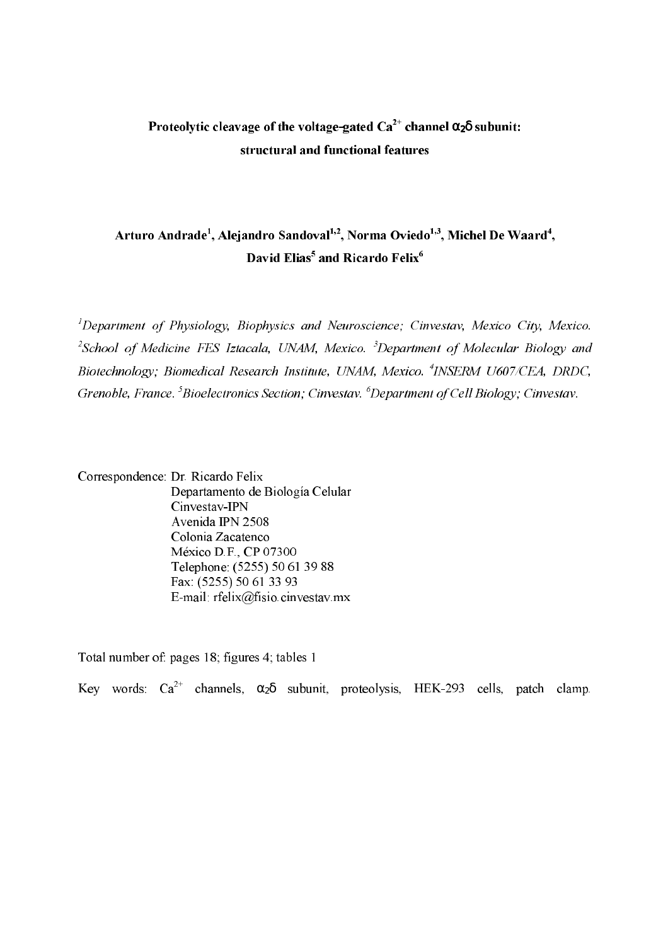## Proteolytic cleavage of the voltage-gated  $\mathrm{Ca}^{2+}$  channel  $\alpha_2\delta$  subunit: structural and functional features

### Arturo Andrade<sup>1</sup>, Alejandro Sandoval<sup>1,2</sup>, Norma Oviedo<sup>1,3</sup>, Michel De Waard<sup>4</sup>, David Elias<sup>5</sup> and Ricardo Felix<sup>6</sup>

<sup>1</sup>Department of Physiology, Biophysics and Neuroscience; Cinvestav, Mexico City, Mexico.  $^{2}$ School of Medicine FES Iztacala, UNAM, Mexico.  $^{3}$ Department of Molecular Biology and Biotechnology; Biomedical Research Institute, UNAM, Mexico. <sup>4</sup>INSERM U607/CEA, DRDC, Grenoble, France. <sup>5</sup>Bioelectronics Section; Cinvestav. <sup>6</sup>Department of Cell Biology; Cinvestav.

Correspondence: Dr. Ricardo Felix Departamento de Biología Celular Cinvestav-IPN Avenida IPN 2508 Colonia Zacatenco México D.F., CP 07300 Telephone: (5255) 50 61 39 88 Fax: (5255) 50 61 33 93 E-mail:  $refelix@fisio.cinvestav.mx$ 

Total number of: pages 18; figures 4; tables 1

Key words:  $Ca^{2+}$  channels,  $\alpha_2\delta$  subunit, proteolysis, HEK-293 cells, patch clamp.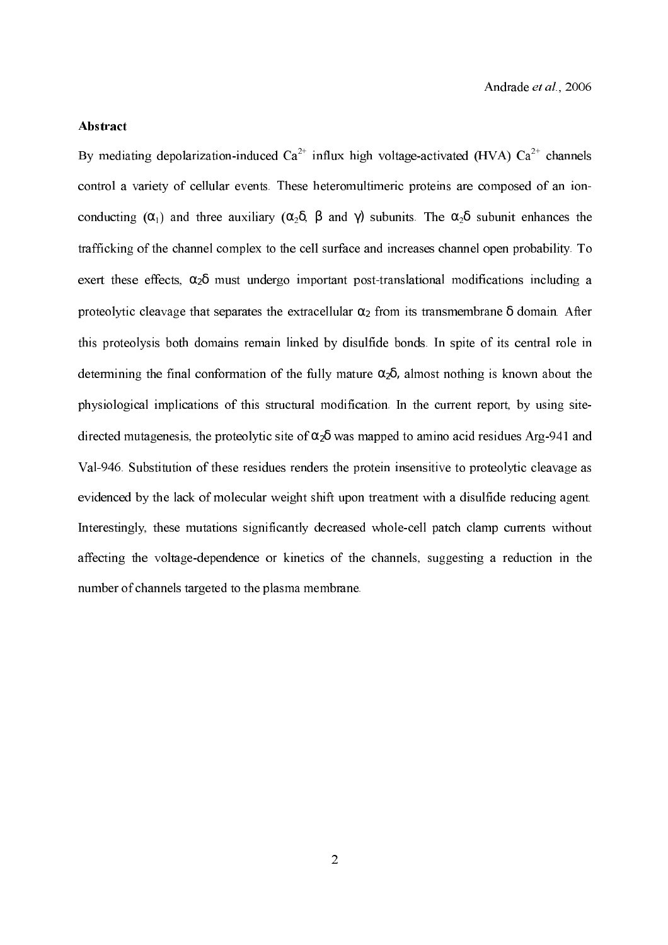#### Abstract

By mediating depolarization-induced  $Ca^{2+}$  influx high voltage-activated (HVA)  $Ca^{2+}$  channels control a variety of cellular events. These heteromultimeric proteins are composed of an ion conducting  $(\alpha_1)$  and three auxiliary  $(\alpha_2\delta, \beta$  and  $\gamma$ ) subunits. The  $\alpha_2\delta$  subunit enhances the trafficking of the channel complex to the cell surface and increases channel open probability. To exert these effects,  $\alpha_2\delta$  must undergo important post-translational modifications including a proteolytic cleavage that separates the extracellular  $\alpha_2$  from its transmembrane  $\delta$  domain. After this proteolysis both domains remain linked by disulfide bonds. In spite of its central role in determining the final conformation of the fully mature  $\alpha_2\delta$ , almost nothing is known about the physiological implications of this structural modification. In the current report, by using site directed mutagenesis, the proteolytic site of  $\alpha_2\delta$  was mapped to amino acid residues Arg-941 and Val-946. Substitution of these residues renders the protein insensitive to proteolytic cleavage as evidenced by the lack of molecular weight shift upon treatment with a disulfide reducing agent. Interestingly, these mutations significantly decreased whole-cell patch clamp currents without affecting the voltage-dependence or kinetics of the channels, suggesting a reduction in the number of channels targeted to the plasma membrane.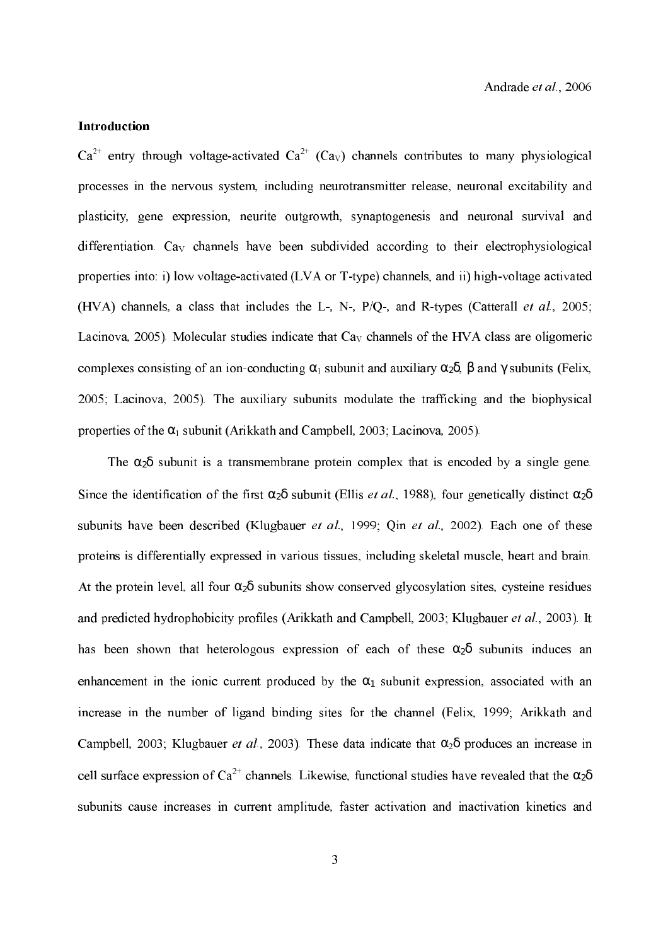#### Introduction

 $Ca^{2+}$  entry through voltage-activated  $Ca^{2+}$  (Ca<sub>v</sub>) channels contributes to many physiological processes in the nervous system, including neurotransmitter release, neuronal excitability and plasticity, gene expression, neurite outgrowth, synaptogenesis and neuronal survival and differentiation.  $C_{av}$  channels have been subdivided according to their electrophysiological properties into: i) low voltage-activated (LVA or T-type) channels, and ii) high-voltage activated (HVA) channels, a class that includes the L-, N-,  $P/Q$ -, and R-types (Catterall *et al.*, 2005; Lacinova, 2005). Molecular studies indicate that  $Ca<sub>V</sub>$  channels of the HVA class are oligomeric complexes consisting of an ion-conducting  $\alpha_1$  subunit and auxiliary  $\alpha_2\delta$ ,  $\beta$  and  $\gamma$  subunits (Felix, 2005; Lacinova, 2005). The auxiliary subunits modulate the trafficking and the biophysical properties of the  $\alpha_1$  subunit (Arikkath and Campbell, 2003; Lacinova, 2005).

The  $\alpha_2\delta$  subunit is a transmembrane protein complex that is encoded by a single gene. Since the identification of the first  $\alpha_2\delta$  subunit (Ellis *et al.*, 1988), four genetically distinct  $\alpha_2\delta$ subunits have been described (Klugbauer et al., 1999; Qin et al., 2002). Each one of these proteins is differentially expressed in various tissues, including skeletal muscle, heart and brain. At the protein level, all four  $\alpha_2\delta$  subunits show conserved glycosylation sites, cysteine residues and predicted hydrophobicity profiles (Arikkath and Campbell, 2003; Klugbauer et al., 2003). It has been shown that heterologous expression of each of these  $\alpha_2\delta$  subunits induces an enhancement in the ionic current produced by the  $\alpha_1$  subunit expression, associated with an increase in the number of ligand binding sites for the channel (Felix, 1999; Arikkath and Campbell, 2003; Klugbauer *et al.*, 2003). These data indicate that  $\alpha_2\delta$  produces an increase in cell surface expression of Ca<sup>2+</sup> channels. Likewise, functional studies have revealed that the  $\alpha_2\delta$ subunits cause increases in current amplitude, faster activation and inactivation kinetics and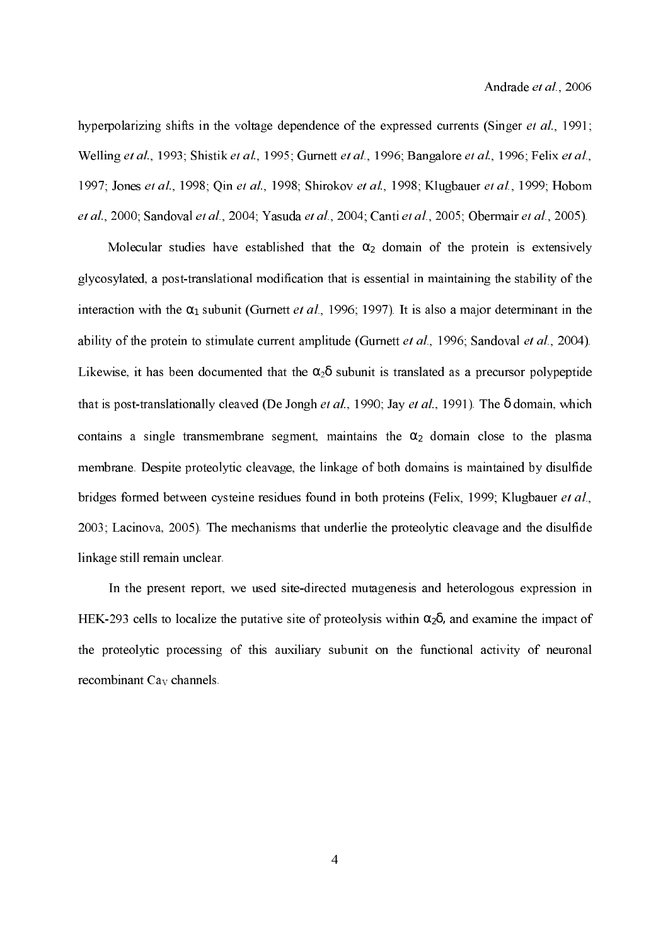hyperpolarizing shifts in the voltage dependence of the expressed currents (Singer et al., 1991; Welling et al., 1993; Shistik et al., 1995; Gurnett et al., 1996; Bangalore et al., 1996; Felix et al., 1997; Jones et al., 1998; Qin et al., 1998; Shirokov et al., 1998; Klugbauer et al., 1999; Hobom et al., 2000; Sandoval et al., 2004; Yasuda et al., 2004; Canti et al., 2005; Obermair et al., 2005).

Molecular studies have established that the  $\alpha_2$  domain of the protein is extensively glycosylated, a posttranslational modification that is essential in maintaining the stability of the interaction with the  $\alpha_1$  subunit (Gurnett *et al.*, 1996; 1997). It is also a major determinant in the ability of the protein to stimulate current amplitude (Gurnett *et al.*, 1996; Sandoval *et al.*, 2004). Likewise, it has been documented that the  $\alpha_2\delta$  subunit is translated as a precursor polypeptide that is post-translationally cleaved (De Jongh et al., 1990; Jay et al., 1991). The  $\delta$  domain, which contains a single transmembrane segment, maintains the  $\alpha_2$  domain close to the plasma membrane. Despite proteolytic cleavage, the linkage of both domains is maintained by disulfide bridges formed between cysteine residues found in both proteins (Felix, 1999; Klugbauer et al., 2003; Lacinova, 2005). The mechanisms that underlie the proteolytic cleavage and the disulfide linkage still remain unclear.

In the present report, we used site-directed mutagenesis and heterologous expression in HEK-293 cells to localize the putative site of proteolysis within  $\alpha_2\delta$ , and examine the impact of the proteolytic processing of this auxiliary subunit on the functional activity of neuronal recombinant  $\text{Ca}_{\text{V}}$  channels.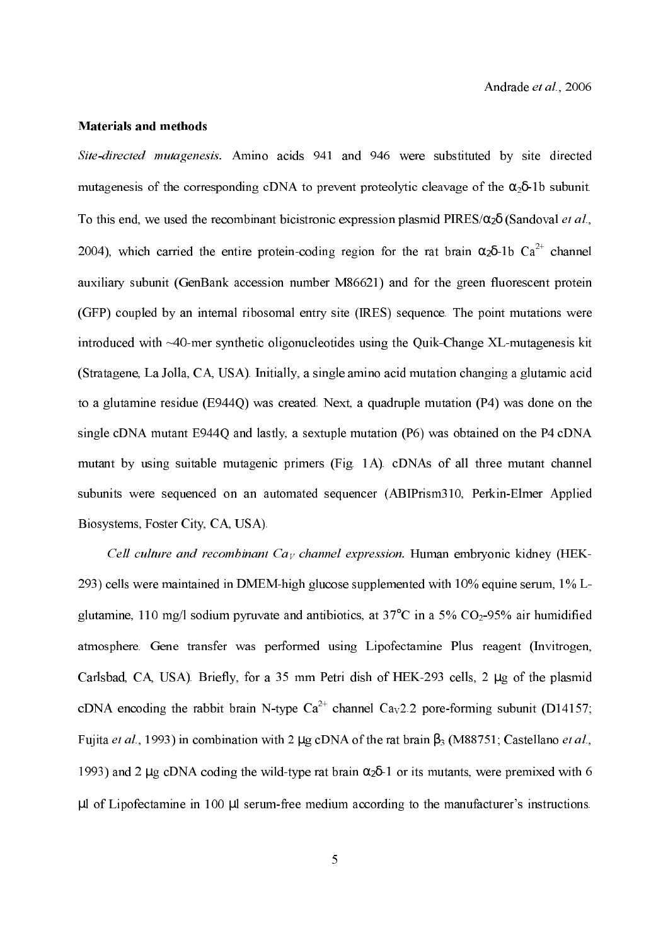#### Materials and methods

Site-directed mutagenesis. Amino acids 941 and 946 were substituted by site directed mutagenesis of the corresponding cDNA to prevent proteolytic cleavage of the  $\alpha_2\delta$ -1b subunit. To this end, we used the recombinant bicistronic expression plasmid PIRES/ $\alpha_2\delta$  (Sandoval *et al.*, 2004), which carried the entire protein-coding region for the rat brain  $\alpha_2\delta$ -1b Ca<sup>2+</sup> channel auxiliary subunit (GenBank accession number M86621) and for the green fluorescent protein (GFP) coupled by an internal ribosomal entry site (IRES) sequence. The point mutations were introduced with  $\sim$ 40-mer synthetic oligonucleotides using the Quik-Change XL-mutagenesis kit (Stratagene, La Jolla, CA, USA). Initially, a single amino acid mutation changing a glutamic acid to a glutamine residue (E944Q) was created. Next, a quadruple mutation (P4) was done on the single cDNA mutant E944Q and lastly, a sextuple mutation (P6) was obtained on the P4 cDNA mutant by using suitable mutagenic primers (Fig. 1A). cDNAs of all three mutant channel subunits were sequenced on an automated sequencer (ABIPrism310, Perkin-Elmer Applied Biosystems, Foster City, CA, USA).

Cell culture and recombinant Ca<sub>V</sub> channel expression. Human embryonic kidney (HEK-293) cells were maintained in DMEM-high glucose supplemented with  $10\%$  equine serum,  $1\%$  Lglutamine, 110 mg/l sodium pyruvate and antibiotics, at  $37^{\circ}$ C in a  $5\%$  CO<sub>2</sub>-95% air humidified atmosphere. Gene transfer was performed using Lipofectamine Plus reagent (Invitrogen, Carlsbad, CA, USA). Briefly, for a 35 mm Petri dish of HEK-293 cells, 2 µg of the plasmid cDNA encoding the rabbit brain N-type  $Ca^{2+}$  channel  $Ca_V2.2$  pore-forming subunit (D14157; Fujita *et al.*, 1993) in combination with 2 μg cDNA of the rat brain  $\beta_3$  (M88751; Castellano *et al.*, 1993) and 2 µg cDNA coding the wild-type rat brain  $\alpha_2\delta$ -1 or its mutants, were premixed with 6  $\mu$ l of Lipofectamine in 100  $\mu$ l serum-free medium according to the manufacturer's instructions.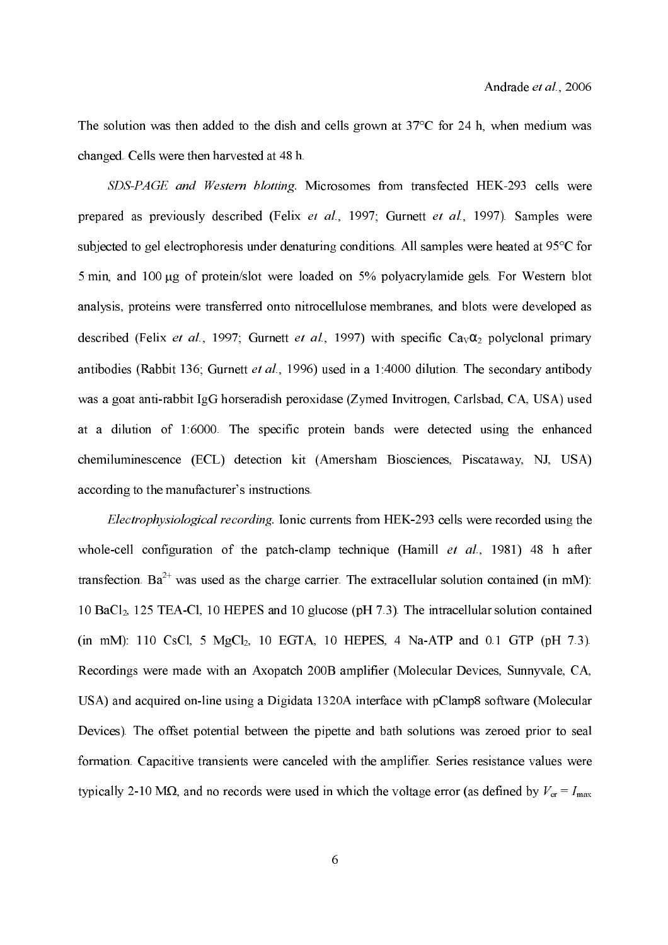The solution was then added to the dish and cells grown at  $37^{\circ}$ C for 24 h, when medium was changed. Cells were then harvested at 48 h.

SDS-PAGE and Western blotting. Microsomes from transfected HEK-293 cells were prepared as previously described (Felix et al., 1997; Gurnett et al., 1997). Samples were subjected to gel electrophoresis under denaturing conditions. All samples were heated at 95°C for 5 min, and 100 µg of protein/slot were loaded on 5% polyacrylamide gels. For Western blot analysis, proteins were transferred onto nitrocellulosemembranes, and blots were developed as described (Felix *et al.*, 1997; Gurnett *et al.*, 1997) with specific  $Ca_V\alpha_2$  polyclonal primary antibodies (Rabbit 136; Gurnett et al., 1996) used in a 1:4000 dilution. The secondary antibody was a goat anti-rabbit IgG horseradish peroxidase (Zymed Invitrogen, Carlsbad, CA, USA) used at a dilution of 1:6000. The specific protein bands were detected using the enhanced chemiluminescence (ECL) detection kit (Amersham Biosciences, Piscataway, NJ, USA) according to the manufacturer's instructions.

Electrophysiological recording. Ionic currents from HEK-293 cells were recorded using the whole-cell configuration of the patch-clamp technique (Hamill  $et$   $al$ , 1981) 48 h after transfection. Ba<sup>2+</sup> was used as the charge carrier. The extracellular solution contained (in mM): 10 BaCl, 125 TEACl, 10 HEPES and 10 glucose (pH 7.3). The intracellular solution contained (in mM): 110 CsCl, 5  $MgCl_2$ , 10 EGTA, 10 HEPES, 4 Na-ATP and 0.1 GTP (pH 7.3). Recordings were made with an Axopatch 200B amplifier (Molecular Devices, Sunnyvale, CA, USA) and acquired on-line using a Digidata 1320A interface with pClamp8 software (Molecular Devices). The offset potential between the pipette and bath solutions was zeroed prior to seal formation.Capacitive transients were canceled with the amplifier. Series resistance values were typically 2-10 M $\Omega$ , and no records were used in which the voltage error (as defined by  $V_{\rm er} = I_{\rm max}$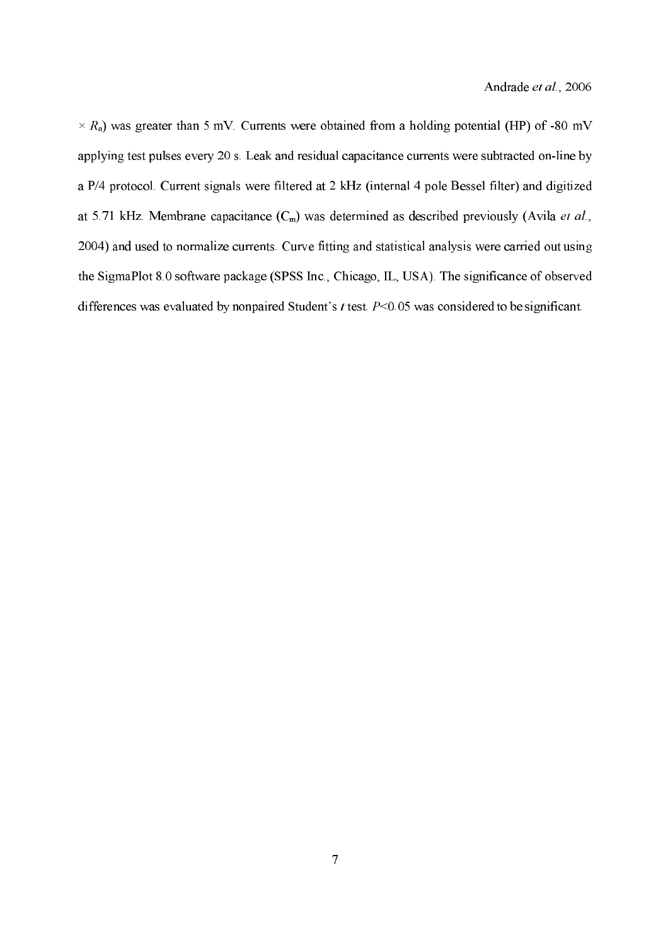$\times$  R<sub>a</sub>) was greater than 5 mV. Currents were obtained from a holding potential (HP) of -80 mV applying test pulses every 20 s. Leak and residual capacitance currents were subtracted on-line by a P/4 protocol. Current signals were filtered at 2 kHz (internal 4 pole Bessel filter) and digitized at 5.71 kHz. Membrane capacitance  $(C_m)$  was determined as described previously (Avila *et al.*, 2004) and used to normalize currents. Curve fitting and statistical analysis were carried out using the SigmaPlot 8.0 software package (SPSS Inc., Chicago, IL, USA). The significance of observed differences was evaluated by nonpaired Student's  $t$  test.  $P<0.05$  was considered to be significant.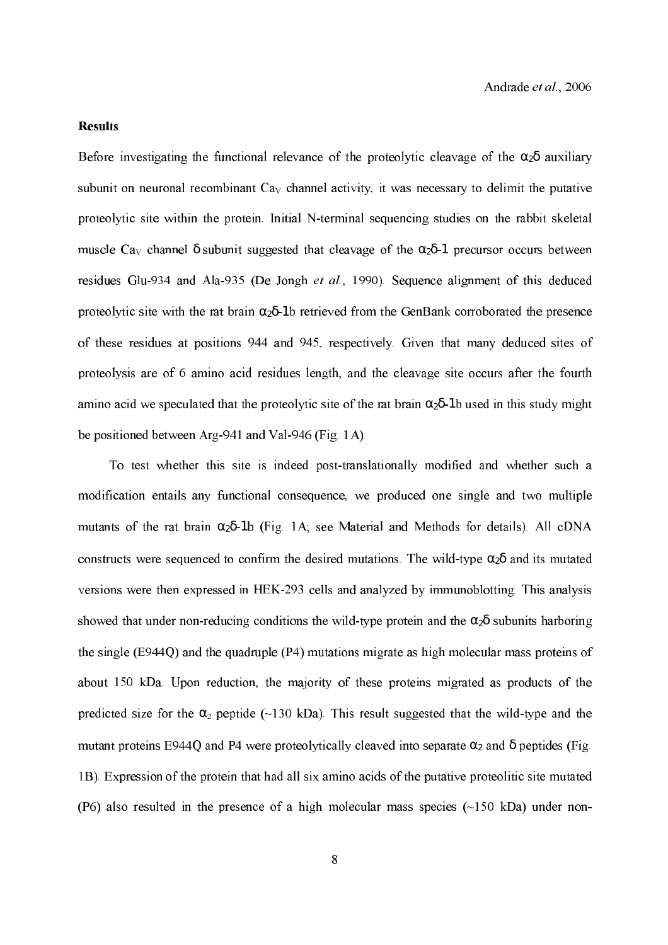#### **Results**

Before investigating the functional relevance of the proteolytic cleavage of the  $\alpha_2\delta$  auxiliary subunit on neuronal recombinant  $C_{\rm av}$  channel activity, it was necessary to delimit the putative proteolytic site within the protein. Initial N-terminal sequencing studies on the rabbit skeletal muscle Ca<sub>V</sub> channel  $\delta$  subunit suggested that cleavage of the  $\alpha_2\delta$ -1 precursor occurs between residues Glu-934 and Ala-935 (De Jongh  $et$   $al$ , 1990). Sequence alignment of this deduced proteolytic site with the rat brain  $\alpha_2\delta$ -1b retrieved from the GenBank corroborated the presence of these residues at positions 944 and 945, respectively. Given that many deduced sites of proteolysis are of 6 amino acid residues length, and the cleavage site occurs after the fourth amino acid we speculated that the proteolytic site of the rat brain  $\alpha_2\delta$ -1b used in this study might be positioned between Arg-941 and Val-946 (Fig. 1A).

To test whether this site is indeed post-translationally modified and whether such a modification entails any functional consequence, we produced one single and two multiple mutants of the rat brain  $\alpha_2\delta$ -1b (Fig. 1A; see Material and Methods for details). All cDNA constructs were sequenced to confirm the desired mutations. The wild-type  $\alpha_2\delta$  and its mutated versions were then expressed in HEK-293 cells and analyzed by immunoblotting. This analysis showed that under non-reducing conditions the wild-type protein and the  $\alpha_2\delta$  subunits harboring the single (E944Q) and the quadruple (P4) mutations migrate as high molecular mass proteins of about 150 kDa. Upon reduction, the majority of these proteins migrated as products of the predicted size for the  $\alpha_2$  peptide (~130 kDa). This result suggested that the wild-type and the mutant proteins E944Q and P4 were proteolytically cleaved into separate  $\alpha_2$  and  $\delta$  peptides (Fig. 1B). Expression of the protein that had all six amino acids of the putative proteolitic site mutated (P6) also resulted in the presence of a high molecular mass species  $(\sim] 50$  kDa) under non-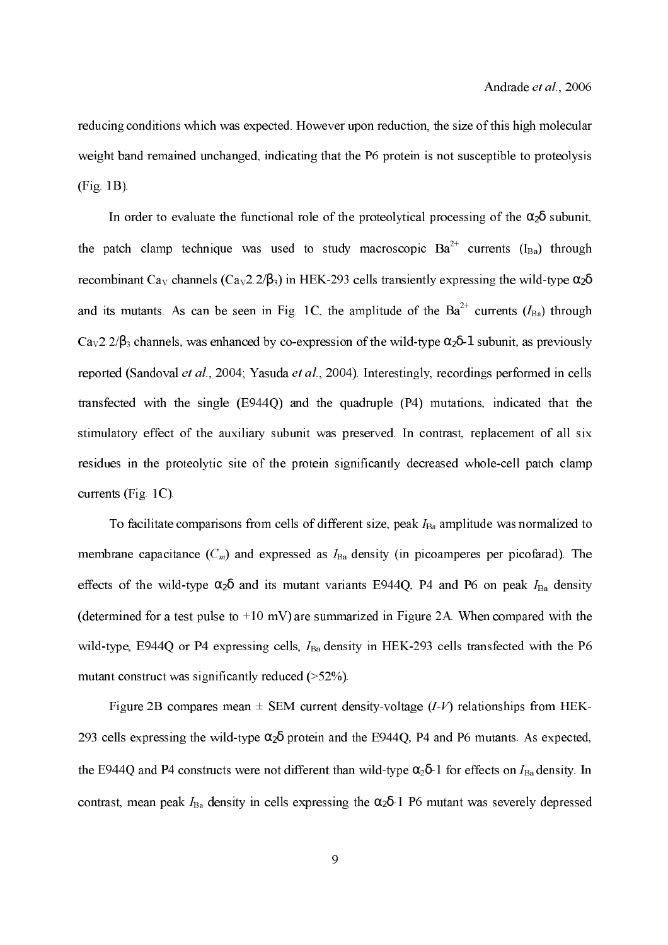reducing conditions which was expected. However upon reduction, the size of this high molecular weight band remained unchanged, indicating that the P6 protein is not susceptible to proteolysis (Fig. 1B).

In order to evaluate the functional role of the proteolytical processing of the  $\alpha_2\delta$  subunit, the patch clamp technique was used to study macroscopic  $Ba^{2+}$  currents  $(I_{Ba})$  through recombinant Ca<sub>v</sub> channels (Ca<sub>v</sub>2.2/β<sub>3</sub>) in HEK-293 cells transiently expressing the wild-type  $\alpha_2\delta$ and its mutants. As can be seen in Fig. 1C, the amplitude of the  $Ba^{2+}$  currents ( $I_{Ba}$ ) through Ca<sub>v</sub>2.2/ $\beta_3$  channels, was enhanced by co-expression of the wild-type  $\alpha_2\delta$ -1 subunit, as previously reported (Sandoval et al., 2004; Yasuda et al., 2004). Interestingly, recordings performed in cells transfected with the single (E944Q) and the quadruple (P4) mutations, indicated that the stimulatory effect of the auxiliary subunit was preserved. In contrast, replacement of all six residues in the proteolytic site of the protein significantly decreased whole-cell patch clamp currents (Fig. 1C).

To facilitate comparisons from cells of different size, peak  $I_{Ba}$  amplitude was normalized to membrane capacitance  $(C_m)$  and expressed as  $I_{Ba}$  density (in picoamperes per picofarad). The effects of the wild-type  $\alpha_2\delta$  and its mutant variants E944Q, P4 and P6 on peak  $I_{Ba}$  density (determined for a test pulse to +10 mV) are summarized in Figure 2A. When compared with the wild-type, E944Q or P4 expressing cells,  $I_{Ba}$  density in HEK-293 cells transfected with the P6 mutant construct was significantly reduced  $($ >52%).

Figure 2B compares mean  $\pm$  SEM current density-voltage (*I-V*) relationships from HEK-293 cells expressing the wild-type  $\alpha_2\delta$  protein and the E944Q, P4 and P6 mutants. As expected, the E944Q and P4 constructs were not different than wild-type  $\alpha_2\delta$ -1 for effects on  $I_{Ba}$  density. In contrast, mean peak  $I_{Ba}$  density in cells expressing the  $\alpha_2\delta$ -1 P6 mutant was severely depressed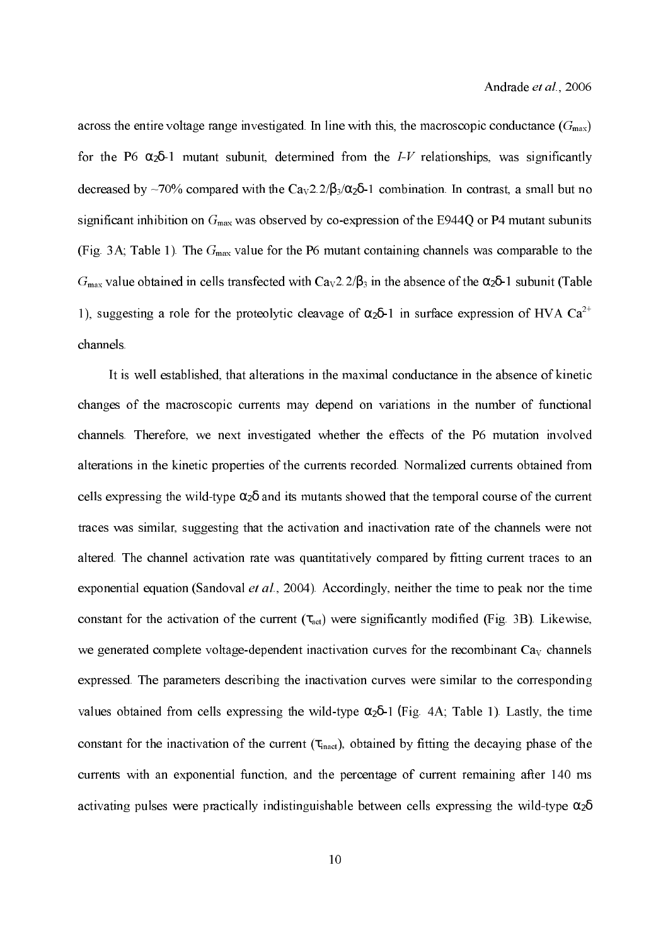across the entire voltage range investigated. In line with this, the macroscopic conductance  $(G_{\text{max}})$ for the P6  $\alpha_2\delta$ -1 mutant subunit, determined from the I-V relationships, was significantly decreased by ~70% compared with the  $Ca<sub>v</sub>2.2/\beta_3/\alpha_2\delta$ -1 combination. In contrast, a small but no significant inhibition on  $G_{\text{max}}$  was observed by co-expression of the E944Q or P4 mutant subunits (Fig. 3A; Table 1). The  $G_{\text{max}}$  value for the P6 mutant containing channels was comparable to the  $G_{\text{max}}$  value obtained in cells transfected with  $Ca<sub>v</sub>2.2/B<sub>3</sub>$  in the absence of the  $\alpha_2\delta$ -1 subunit (Table 1), suggesting a role for the proteolytic cleavage of  $\alpha_2\delta$ -1 in surface expression of HVA Ca<sup>2+</sup> channels.

 It is well established, that alterations in the maximal conductance in the absence of kinetic changes of the macroscopic currents may depend on variations in the number of functional channels. Therefore, we next investigated whether the effects of the P6 mutation involved alterations in the kinetic properties of the currents recorded. Normalized currents obtained from cells expressing the wild-type  $\alpha_2\delta$  and its mutants showed that the temporal course of the current traces was similar, suggesting that the activation and inactivation rate of the channels were not altered. The channel activation rate was quantitatively compared by fitting current traces to an exponential equation (Sandoval et al., 2004). Accordingly, neither the time to peak nor the time constant for the activation of the current  $(\tau_{\text{act}})$  were significantly modified (Fig. 3B). Likewise, we generated complete voltage-dependent inactivation curves for the recombinant  $Ca<sub>V</sub>$  channels expressed. The parameters describing the inactivation curves were similar to the corresponding values obtained from cells expressing the wild-type  $\alpha_2\delta$ -1 (Fig. 4A; Table 1). Lastly, the time constant for the inactivation of the current  $(\tau_{\text{inact}})$ , obtained by fitting the decaying phase of the currents with an exponential function, and the percentage of current remaining after 140 ms activating pulses were practically indistinguishable between cells expressing the wild-type  $\alpha_2\delta$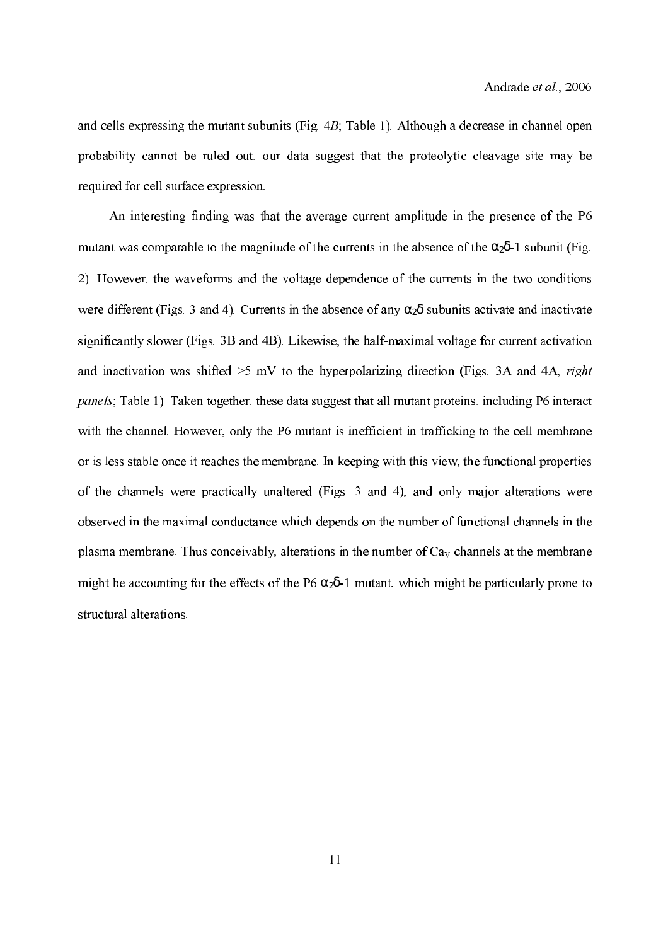and cells expressing the mutant subunits (Fig.  $4B$ ; Table 1). Although a decrease in channel open probability cannot be ruled out, our data suggest that the proteolytic cleavage site may be required for cell surface expression.

 An interesting finding was that the average current amplitude in the presence of the P6 mutant was comparable to the magnitude of the currents in the absence of the  $\alpha_2\delta$ -1 subunit (Fig. 2). However, the waveforms and the voltage dependence of the currents in the two conditions were different (Figs. 3 and 4). Currents in the absence of any  $\alpha_2\delta$  subunits activate and inactivate significantly slower (Figs. 3B and 4B). Likewise, the half-maximal voltage for current activation and inactivation was shifted  $>5$  mV to the hyperpolarizing direction (Figs. 3A and 4A, *right* panels; Table 1). Taken together, these data suggest that all mutant proteins, including P6 interact with the channel. However, only the P6 mutant is inefficient in trafficking to the cell membrane or is less stable once it reaches the membrane. In keeping with this view, the functional properties of the channels were practically unaltered (Figs. 3 and 4), and only major alterations were observed in the maximal conductance which depends on the number of functional channels in the plasma membrane. Thus conceivably, alterations in the number of  $Ca<sub>V</sub>$  channels at the membrane might be accounting for the effects of the P6  $\alpha_2\delta$ -1 mutant, which might be particularly prone to structural alterations.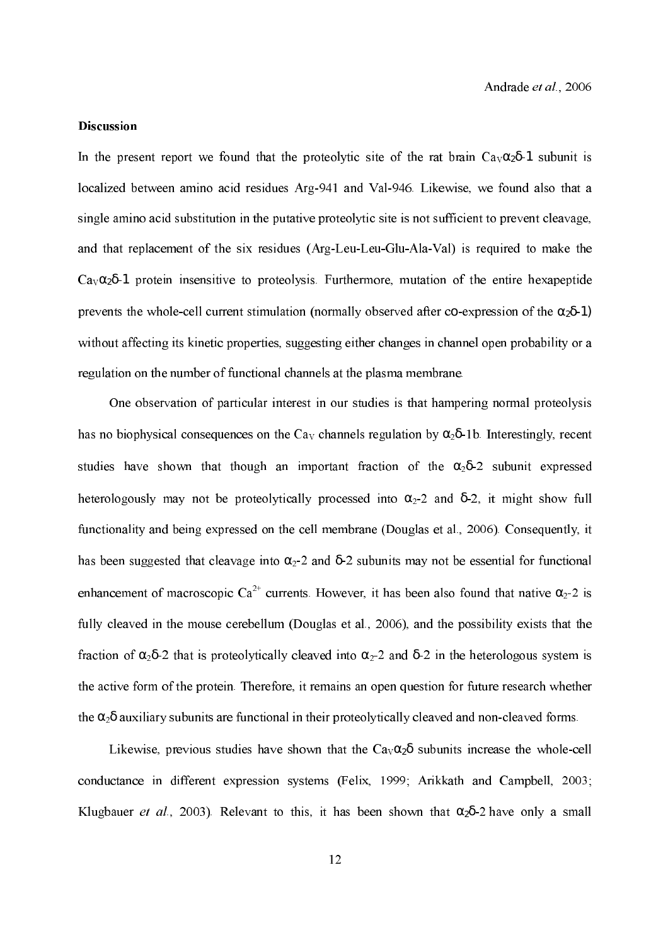#### Discussion

In the present report we found that the proteolytic site of the rat brain  $Ca_v\alpha_2\delta$ -1 subunit is localized between amino acid residues Arg-941 and Val-946. Likewise, we found also that a single amino acid substitution in the putative proteolytic site is not sufficient to prevent cleavage, and that replacement of the six residues (Arg-Leu-Leu-Glu-Ala-Val) is required to make the Ca $\alpha_0$  $\alpha_2$ δ-1 protein insensitive to proteolysis. Furthermore, mutation of the entire hexapeptide prevents the whole-cell current stimulation (normally observed after co-expression of the  $\alpha_2\delta$ -1) without affecting its kinetic properties, suggesting either changes in channel open probability or a regulation on the number of functional channels at the plasma membrane.

One observation of particular interest in our studies is that hampering normal proteolysis has no biophysical consequences on the  $\text{Ca}_{\text{V}}$  channels regulation by  $\alpha_2\delta$ -1b. Interestingly, recent studies have shown that though an important fraction of the  $\alpha_2\delta$ -2 subunit expressed heterologously may not be proteolytically processed into  $\alpha_2$ -2 and  $\delta$ -2, it might show full functionality and being expressed on the cell membrane (Douglas et al., 2006). Consequently, it has been suggested that cleavage into  $\alpha_2$ -2 and  $\delta$ -2 subunits may not be essential for functional enhancement of macroscopic  $Ca^{2+}$  currents. However, it has been also found that native  $\alpha_2$ -2 is fully cleaved in the mouse cerebellum (Douglas et al., 2006), and the possibility exists that the fraction of  $\alpha_2\delta$ -2 that is proteolytically cleaved into  $\alpha_2$ -2 and  $\delta$ -2 in the heterologous system is the active form of the protein. Therefore, it remains an open question for future research whether the  $\alpha_2\delta$  auxiliary subunits are functional in their proteolytically cleaved and non-cleaved forms.

Likewise, previous studies have shown that the  $Ca<sub>v</sub>α<sub>2</sub>δ$  subunits increase the whole-cell conductance in different expression systems (Felix, 1999; Arikkath and Campbell, 2003; Klugbauer *et al.*, 2003). Relevant to this, it has been shown that  $\alpha_2\delta$ -2 have only a small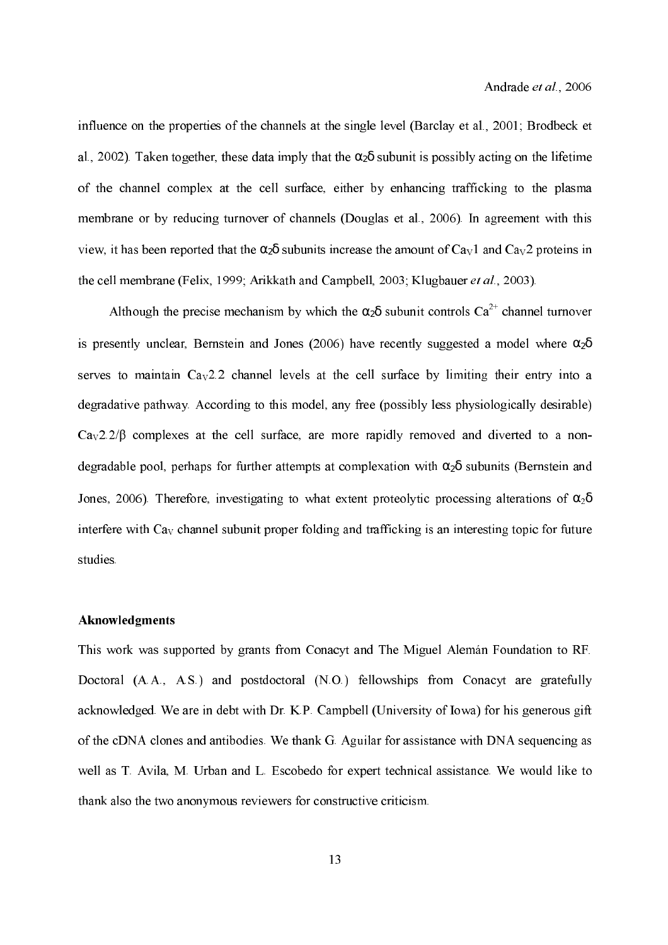influence on the properties of the channels at the single level (Barclay et al., 2001; Brodbeck et al., 2002). Taken together, these data imply that the  $\alpha_2\delta$  subunit is possibly acting on the lifetime of the channel complex at the cell surface, either by enhancing trafficking to the plasma membrane or by reducing turnover of channels (Douglas et al., 2006). In agreement with this view, it has been reported that the  $\alpha_2\delta$  subunits increase the amount of  $Ca<sub>V</sub>1$  and  $Ca<sub>V</sub>2$  proteins in the cell membrane (Felix, 1999; Arikkath and Campbell, 2003; Klugbauer et al., 2003).

Although the precise mechanism by which the  $\alpha_2\delta$  subunit controls  $Ca^{2+}$  channel turnover is presently unclear, Bernstein and Jones (2006) have recently suggested a model where  $\alpha_2\delta$ serves to maintain  $Ca<sub>V</sub>2.2$  channel levels at the cell surface by limiting their entry into a degradative pathway. According to this model, any free (possibly less physiologically desirable)  $Ca<sub>v</sub>2.2/β$  complexes at the cell surface, are more rapidly removed and diverted to a nondegradable pool, perhaps for further attempts at complexation with  $\alpha_2\delta$  subunits (Bernstein and Jones, 2006). Therefore, investigating to what extent proteolytic processing alterations of  $\alpha_2\delta$ interfere with  $Ca<sub>v</sub>$  channel subunit proper folding and trafficking is an interesting topic for future studies.

#### Aknowledgments

This work was supported by grants from Conacyt and The Miguel Alemán Foundation to RF. Doctoral (A.A., A.S.) and postdoctoral (N.O.) fellowships from Conacyt are gratefully acknowledged. We are in debt with Dr. K.P. Campbell (University of Iowa) for his generous gift of the cDNA clones and antibodies. We thank G. Aguilar for assistance with DNA sequencing as well as T. Avila, M. Urban and L. Escobedo for expert technical assistance. We would like to thank also the two anonymous reviewers for constructive criticism.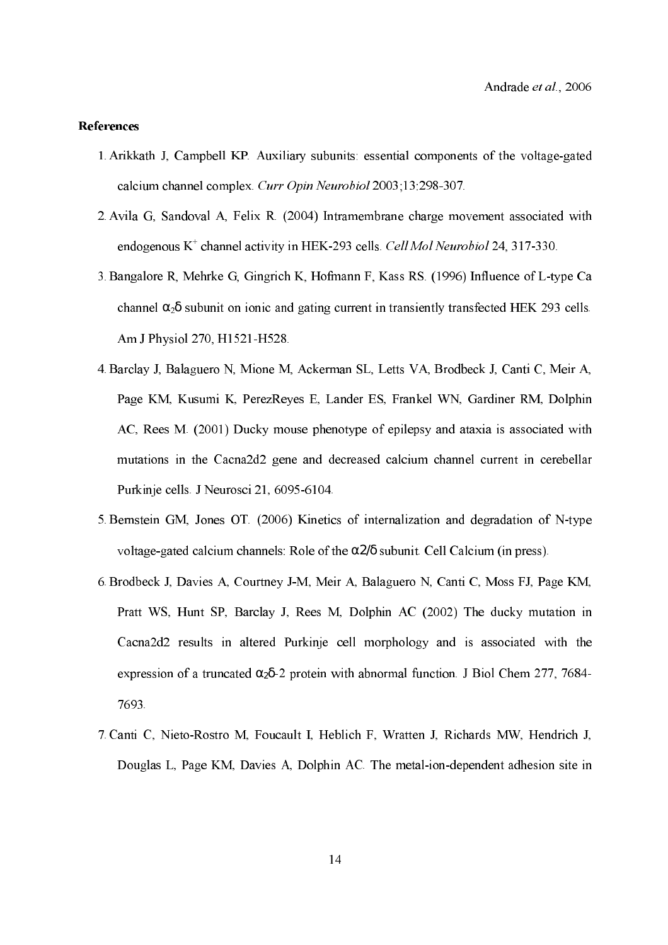#### References

- 1. Arikkath J, Campbell KP. Auxiliary subunits: essential components of the voltage-gated calcium channel complex. Curr Opin Neurobiol 2003;13:298-307.
- 2.Avila G, Sandoval A, Felix R. (2004) Intramembrane charge movement associated with endogenous  $K^+$  channel activity in HEK-293 cells. Cell Mol Neurobiol 24, 317-330.
- 3. Bangalore R, Mehrke G, Gingrich K, Hofmann F, Kass RS. (1996) Influence of L-type Ca channel  $\alpha_2\delta$  subunit on ionic and gating current in transiently transfected HEK 293 cells. Am J Physiol 270, H1521-H528.
- 4.Barclay J, Balaguero N, Mione M, Ackerman SL, Letts VA, Brodbeck J, Canti C, Meir A, Page KM, Kusumi K, PerezReyes E, Lander ES, Frankel WN, Gardiner RM, Dolphin AC, Rees M. (2001) Ducky mouse phenotype of epilepsy and ataxia is associated with mutations in the Cacna2d2 gene and decreased calcium channel current in cerebellar Purkinje cells. J Neurosci 21, 6095-6104.
- 5. Bernstein GM, Jones OT. (2006) Kinetics of internalization and degradation of N-type voltage-gated calcium channels: Role of the  $\alpha$ 2/δ subunit. Cell Calcium (in press).
- 6. Brodbeck J, Davies A, Courtney J-M, Meir A, Balaguero N, Canti C, Moss FJ, Page KM, Pratt WS, Hunt SP, Barclay J, Rees M, Dolphin AC (2002) The ducky mutation in Cacna2d2 results in altered Purkinje cell morphology and is associated with the expression of a truncated  $\alpha_2\delta$ -2 protein with abnormal function. J Biol Chem 277, 7684-7693.
- 7. Canti C, Nieto-Rostro M, Foucault I, Heblich F, Wratten J, Richards MW, Hendrich J, Douglas L, Page KM, Davies A, Dolphin AC. The metal-ion-dependent adhesion site in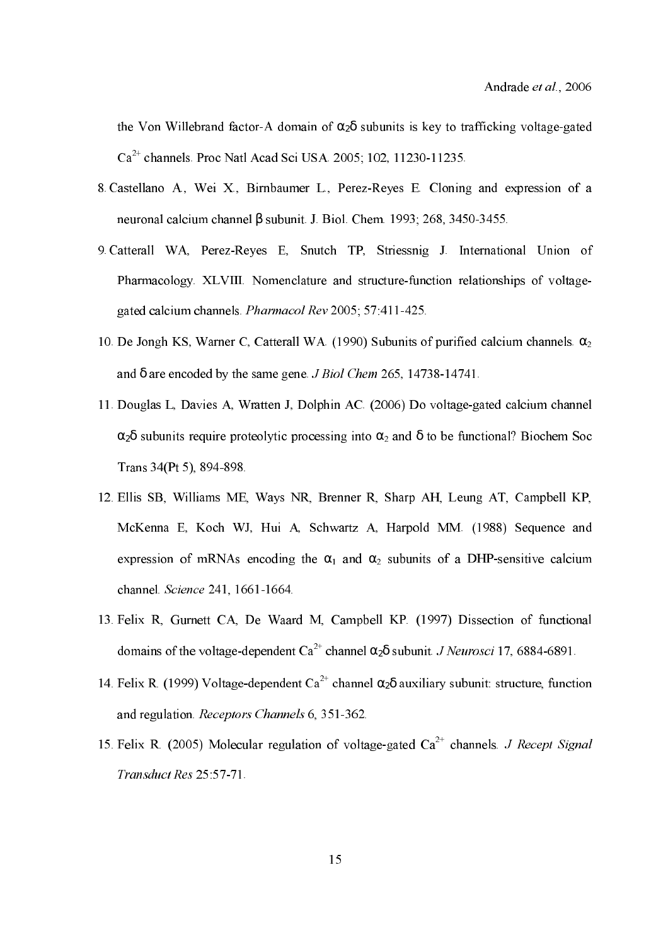the Von Willebrand factor-A domain of  $\alpha_2\delta$  subunits is key to trafficking voltage-gated  $Ca^{2+}$  channels. Proc Natl Acad Sci USA. 2005; 102, 11230-11235.

- 8. Castellano A., Wei X., Birnbaumer L., Perez-Reyes E. Cloning and expression of a neuronal calcium channel β subunit. J. Biol. Chem. 1993; 268, 3450-3455.
- 9. Catterall WA, Perez-Reyes E, Snutch TP, Striessnig J. International Union of Pharmacology. XLVIII. Nomenclature and structure-function relationships of voltagegated calcium channels. *Pharmacol Rev* 2005; 57:411-425.
- 10. De Jongh KS, Warner C, Catterall WA. (1990) Subunits of purified calcium channels.  $α_2$ and  $\delta$  are encoded by the same gene. *J Biol Chem* 265, 14738-14741.
- 11. Douglas L, Davies A, Wratten J, Dolphin AC. (2006) Do voltage-gated calcium channel  $\alpha_2$ δ subunits require proteolytic processing into  $\alpha_2$  and  $\delta$  to be functional? Biochem Soc Trans 34(Pt 5), 894-898.
- 12.Ellis SB, Williams ME, Ways NR, Brenner R, Sharp AH, Leung AT, Campbell KP, McKenna E, Koch WJ, Hui A, Schwartz A, Harpold MM. (1988) Sequence and expression of mRNAs encoding the  $\alpha_1$  and  $\alpha_2$  subunits of a DHP-sensitive calcium channel. Science 241, 1661-1664.
- 13.Felix R, Gurnett CA, De Waard M, Campbell KP. (1997) Dissection of functional domains of the voltage-dependent Ca<sup>2+</sup> channel  $\alpha_2\delta$  subunit. *J Neurosci* 17, 6884-6891.
- 14. Felix R. (1999) Voltage-dependent Ca<sup>2+</sup> channel  $\alpha_2\delta$  auxiliary subunit: structure, function and regulation. Receptors Channels 6, 351-362.
- 15. Felix R. (2005) Molecular regulation of voltage-gated  $Ca^{2+}$  channels. *J Recept Signal Transduct Res* 25:57-71.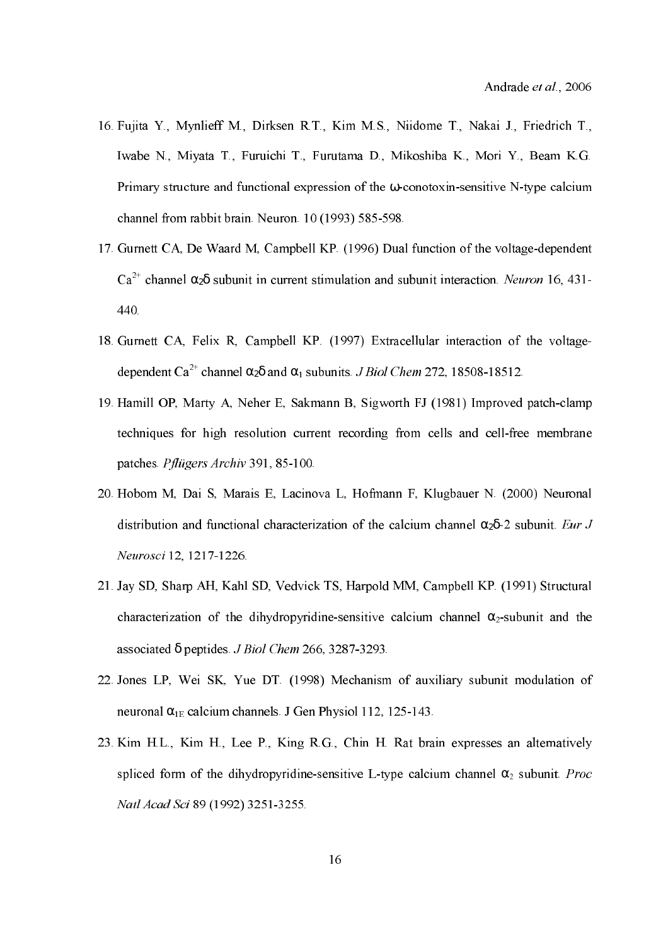- 16.Fujita Y., Mynlieff M., Dirksen R.T., Kim M.S., Niidome T., Nakai J., Friedrich T., Iwabe N., Miyata T., Furuichi T., Furutama D., Mikoshiba K., Mori Y., Beam K.G. Primary structure and functional expression of the  $\omega$ -conotoxin-sensitive N-type calcium channel from rabbit brain. Neuron. 10 (1993) 585-598.
- 17.Gurnett CA, De Waard M, Campbell KP. (1996) Dual function of the voltagedependent  $Ca^{2+}$  channel  $\alpha_2\delta$  subunit in current stimulation and subunit interaction. Neuron 16, 431-440.
- 18.Gurnett CA, Felix R, Campbell KP. (1997) Extracellular interaction of the voltage dependent Ca<sup>2+</sup> channel  $\alpha_2\delta$  and  $\alpha_1$  subunits. *J Biol Chem* 272, 18508-18512.
- 19. Hamill OP, Marty A, Neher E, Sakmann B, Sigworth FJ (1981) Improved patch-clamp techniques for high resolution current recording from cells and cell-free membrane patches. Pflügers Archiv 391, 85-100.
- 20.Hobom M, Dai S, Marais E, Lacinova L, Hofmann F, Klugbauer N. (2000) Neuronal distribution and functional characterization of the calcium channel  $\alpha_2\delta$ -2 subunit. Eur J Neurosci 12, 1217-1226.
- 21.Jay SD, Sharp AH, Kahl SD, Vedvick TS, Harpold MM, Campbell KP. (1991) Structural characterization of the dihydropyridine-sensitive calcium channel  $\alpha_2$ -subunit and the associated  $\delta$  peptides. *J Biol Chem* 266, 3287-3293.
- 22.Jones LP, Wei SK, Yue DT. (1998) Mechanism of auxiliary subunit modulation of neuronal  $\alpha_{1E}$  calcium channels. J Gen Physiol 112, 125-143.
- 23.Kim H.L., Kim H., Lee P., King R.G., Chin H. Rat brain expresses an alternatively spliced form of the dihydropyridine-sensitive L-type calcium channel  $\alpha_2$  subunit. *Proc* 251*-3255 Natl Acad Sci* 89 (1992) 3251-3255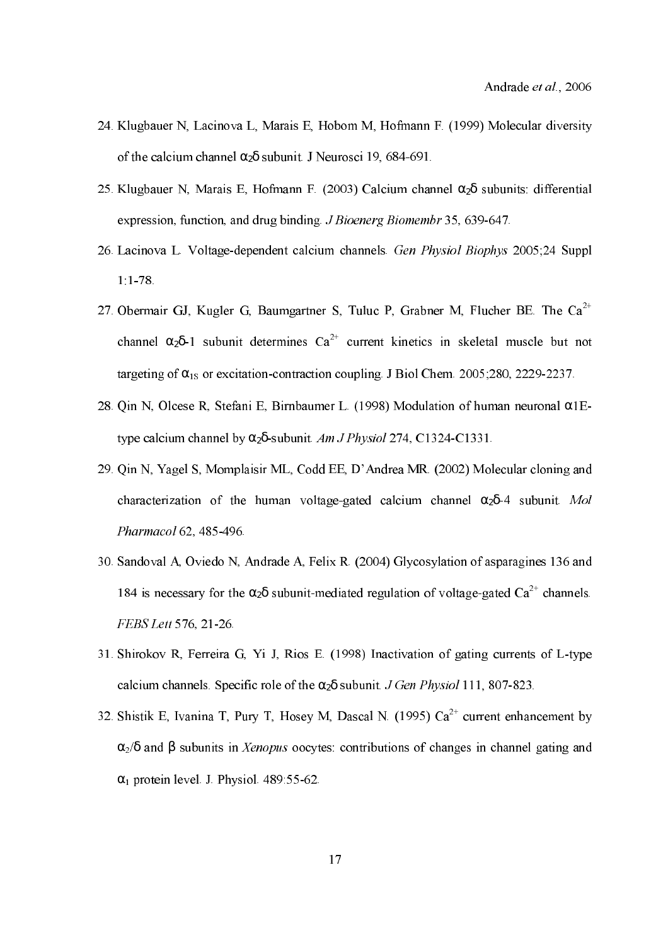- 24.Klugbauer N, Lacinova L, Marais E, Hobom M, Hofmann F. (1999) Molecular diversity of the calcium channel  $\alpha_2\delta$  subunit. J Neurosci 19, 684-691.
- 25. Klugbauer N, Marais E, Hofmann F. (2003) Calcium channel  $\alpha_2\delta$  subunits: differential expression, function, and drug binding  $J$  Bioenerg Biomembr 35, 639-647.
- 26. Lacinova L. Voltage-dependent calcium channels. Gen Physiol Biophys 2005;24 Suppl 1:178.
- 27. Obermair GJ, Kugler G, Baumgartner S, Tuluc P, Grabner M, Flucher BE. The  $Ca^{2+}$ channel  $\alpha_2\delta$ -1 subunit determines  $Ca^{2+}$  current kinetics in skeletal muscle but not targeting of  $\alpha_{1s}$  or excitation-contraction coupling. J Biol Chem. 2005;280, 2229-2237.
- 28. Qin N, Olcese R, Stefani E, Birnbaumer L. (1998) Modulation of human neuronal  $\alpha$ 1Etype calcium channel by  $\alpha_2\delta$ -subunit. Am J Physiol 274, C1324-C1331.
- 29.Qin N, Yagel S, Momplaisir ML, Codd EE, D'Andrea MR. (2002) Molecular cloning and characterization of the human voltage-gated calcium channel  $\alpha_2\delta$ -4 subunit. Mol Pharmacol 62, 485-496.
- 30.Sandoval A, Oviedo N, Andrade A, Felix R. (2004) Glycosylation of asparagines 136 and 184 is necessary for the  $\alpha_2\delta$  subunit-mediated regulation of voltage-gated Ca<sup>2+</sup> channels. FEBS Lett 576, 21-26.
- 31. Shirokov R, Ferreira G, Yi J, Rios E. (1998) Inactivation of gating currents of L-type calcium channels. Specific role of the  $\alpha_2\delta$  subunit. J Gen Physiol 111, 807-823.
- 32. Shistik E, Ivanina T, Pury T, Hosey M, Dascal N. (1995)  $Ca^{2+}$  current enhancement by  $\alpha_2/\delta$  and  $\beta$  subunits in *Xenopus* oocytes: contributions of changes in channel gating and  $\alpha_1$  protein level. J. Physiol. 489:55-62.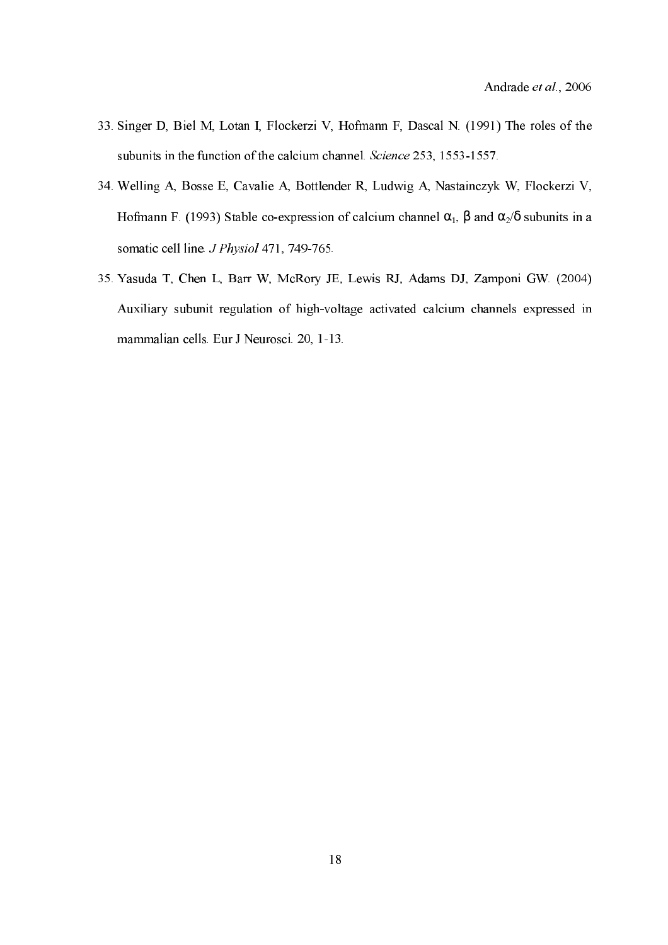- 33.Singer D, Biel M, Lotan I, Flockerzi V, Hofmann F, Dascal N. (1991) The roles of the subunits in the function of the calcium channel. Science 253, 1553-1557.
- 34.Welling A, Bosse E, Cavalie A, Bottlender R, Ludwig A, Nastainczyk W, Flockerzi V, Hofmann F. (1993) Stable co-expression of calcium channel  $\alpha_1$ , β and  $\alpha_2$ /δ subunits in a somatic cell line. *J Physiol* 471, 749-765.
- 35.Yasuda T, Chen L, Barr W, McRory JE, Lewis RJ, Adams DJ, Zamponi GW. (2004) Auxiliary subunit regulation of high-voltage activated calcium channels expressed in mammalian cells. Eur J Neurosci. 20, 1-13.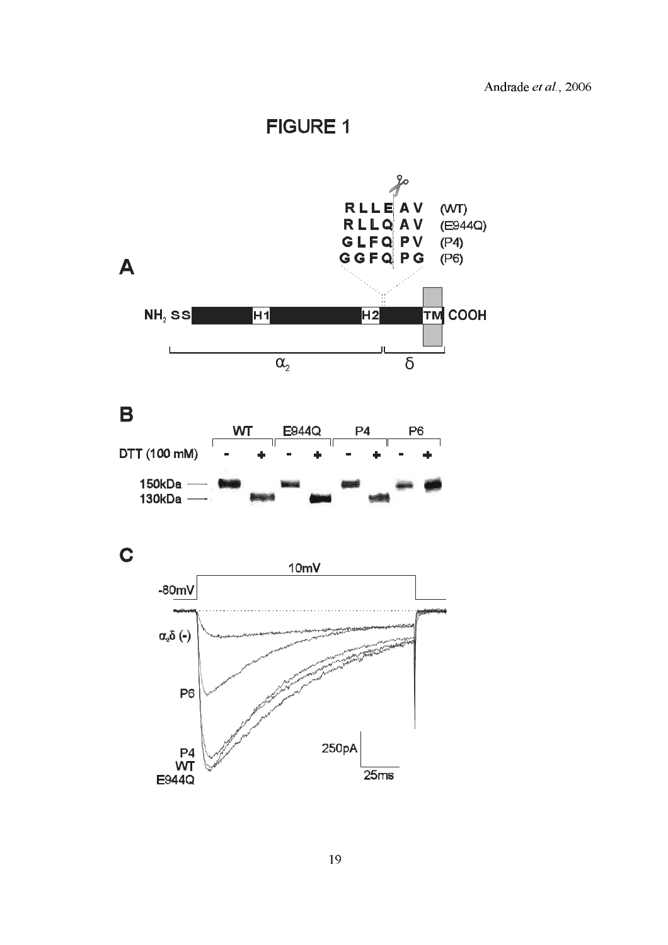**FIGURE 1** 





 $\mathbf C$ 

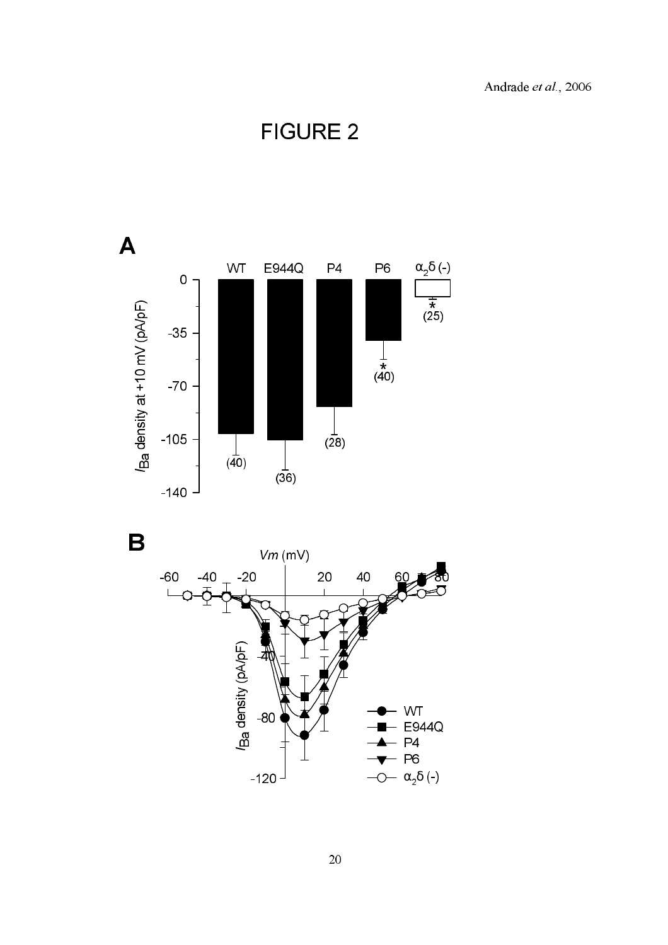Andrade et al., 2006

**FIGURE 2** 





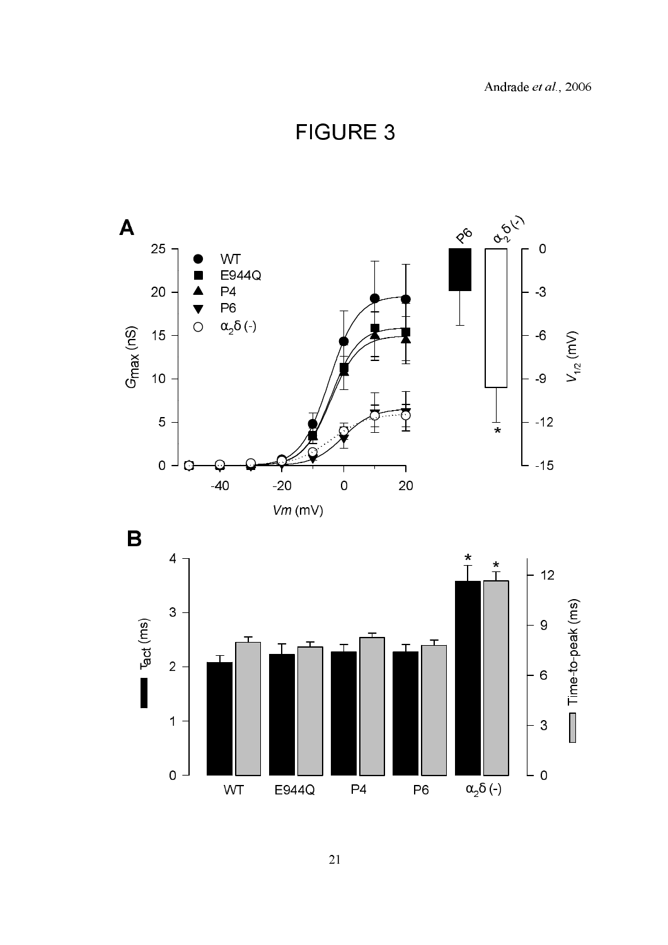**FIGURE 3** 

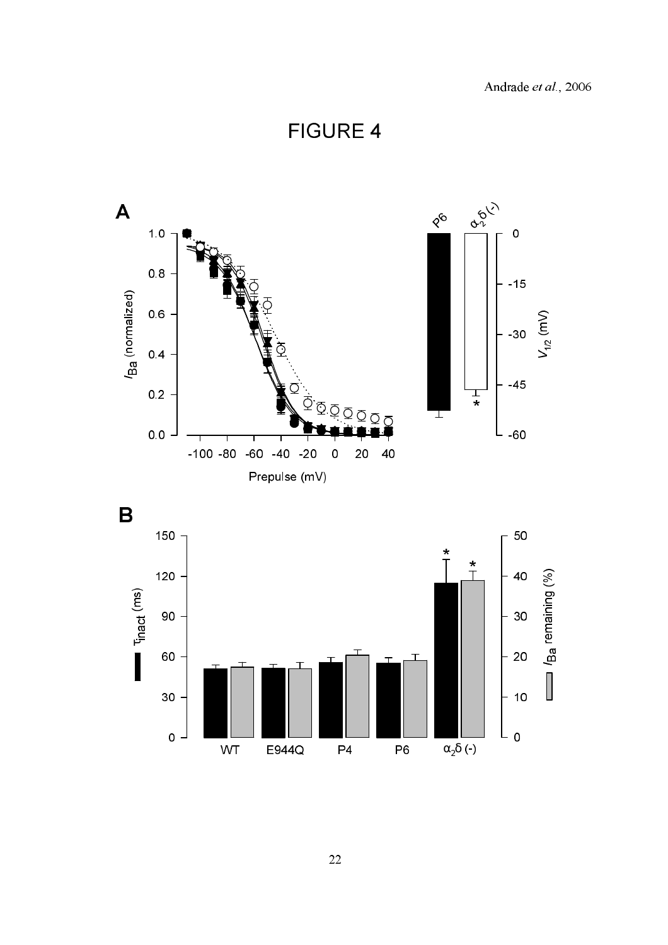**FIGURE 4** 



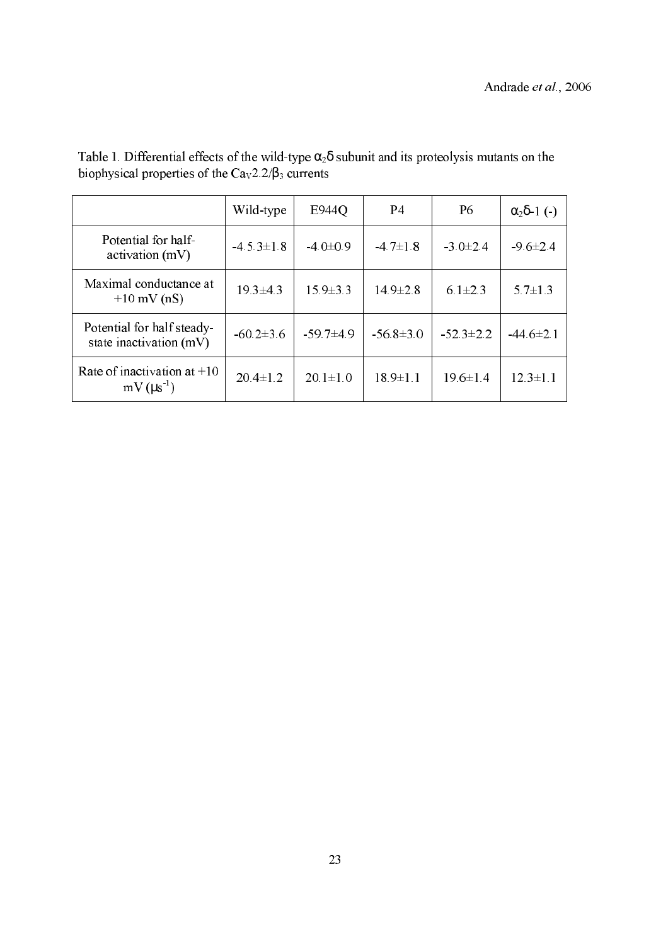|                                                        | Wild-type        | E944Q          | P4              | P <sub>6</sub> | $\alpha_2\delta$ -1 (-) |
|--------------------------------------------------------|------------------|----------------|-----------------|----------------|-------------------------|
| Potential for half-<br>activation(mV)                  | $-4.5.3 \pm 1.8$ | $-4.0 \pm 0.9$ | $-47\pm18$      | $-3.0\pm2.4$   | $-9.6 \pm 2.4$          |
| Maximal conductance at<br>$+10$ mV (nS)                | $19.3 \pm 4.3$   | $15.9 \pm 3.3$ | $14.9 \pm 2.8$  | $6.1 \pm 2.3$  | $5.7 \pm 1.3$           |
| Potential for half steady-<br>state inactivation (mV)  | $-60.2\pm3.6$    | $-59.7+4.9$    | $-56.8 \pm 3.0$ | $-523\pm22$    | $-44.6 \pm 2.1$         |
| Rate of inactivation at $+10$<br>$mV$ ( $\mu s^{-1}$ ) | $20.4 \pm 1.2$   | $20.1 \pm 1.0$ | $18.9 \pm 1.1$  | $19.6 \pm 1.4$ | $12.3 \pm 1.1$          |

Table 1. Differential effects of the wild-type  $\alpha_2\delta$  subunit and its proteolysis mutants on the biophysical properties of the  $Ca<sub>v</sub>2.2/B<sub>3</sub>$  currents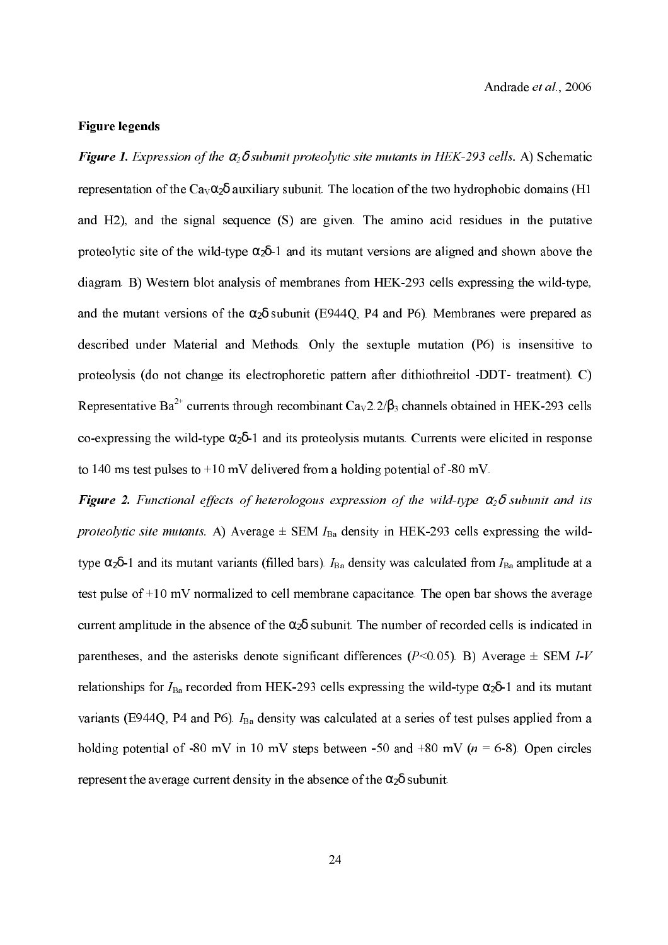### **Figure legends**

Figure 1. Expression of the  $\alpha_2\delta$  subunit proteolytic site mutants in HEK-293 cells. A) Schematic representation of the  $Ca_V\alpha_2\delta$  auxiliary subunit. The location of the two hydrophobic domains (H1 and H2), and the signal sequence (S) are given. The amino acid residues in the putative proteolytic site of the wild-type  $\alpha_2\delta$ -1 and its mutant versions are aligned and shown above the diagram. B) Western blot analysis of membranes from HEK-293 cells expressing the wild-type, and the mutant versions of the  $\alpha_2\delta$  subunit (E944Q, P4 and P6). Membranes were prepared as described under Material and Methods. Only the sextuple mutation (P6) is insensitive to proteolysis (do not change its electrophoretic pattern after dithiothreitol -DDT- treatment). C) Representative Ba<sup>2+</sup> currents through recombinant  $\text{Ca}_{\text{V}}2.2/\beta_3$  channels obtained in HEK-293 cells co-expressing the wild-type  $\alpha_2\delta$ -1 and its proteolysis mutants. Currents were elicited in response to 140 ms test pulses to  $+10$  mV delivered from a holding potential of -80 mV.

Figure 2. Functional effects of heterologous expression of the wild-type  $\alpha_2\delta$  subunit and its proteolytic site mutants. A) Average  $\pm$  SEM  $I_{Ba}$  density in HEK-293 cells expressing the wildtype  $\alpha_2\delta$ -1 and its mutant variants (filled bars).  $I_{Ba}$  density was calculated from  $I_{Ba}$  amplitude at a test pulse of +10 mV normalized to cell membrane capacitance. The open bar shows the average current amplitude in the absence of the  $\alpha_2\delta$  subunit. The number of recorded cells is indicated in parentheses, and the asterisks denote significant differences ( $P<0.05$ ). B) Average  $\pm$  SEM I-V relationships for  $I_{Ba}$  recorded from HEK-293 cells expressing the wild-type  $\alpha_2\delta$ -1 and its mutant variants (E944Q, P4 and P6).  $I_{Ba}$  density was calculated at a series of test pulses applied from a holding potential of -80 mV in 10 mV steps between -50 and +80 mV ( $n = 6-8$ ). Open circles represent the average current density in the absence of the  $\alpha_2\delta$  subunit.